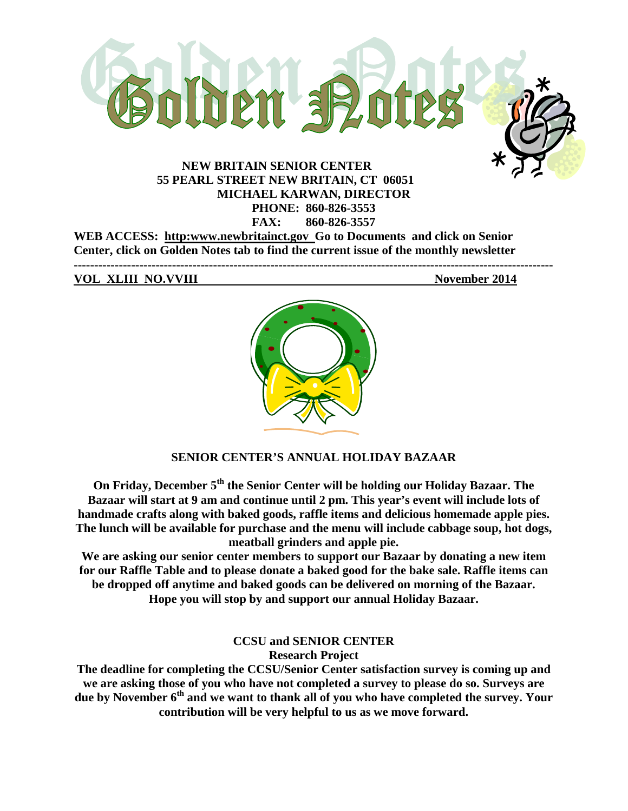

**55 PEARL STREET NEW BRITAIN, CT 06051 MICHAEL KARWAN, DIRECTOR PHONE: 860-826-3553 FAX: 860-826-3557**

**WEB ACCESS: http:www.newbritainct.gov Go to Documents and click on Senior Center, click on Golden Notes tab to find the current issue of the monthly newsletter ---------------------------------------------------------------------------------------------------------------------**

**VOL XLIII NO.VVIII November 2014**



# **SENIOR CENTER'S ANNUAL HOLIDAY BAZAAR**

**On Friday, December 5th the Senior Center will be holding our Holiday Bazaar. The Bazaar will start at 9 am and continue until 2 pm. This year's event will include lots of handmade crafts along with baked goods, raffle items and delicious homemade apple pies. The lunch will be available for purchase and the menu will include cabbage soup, hot dogs, meatball grinders and apple pie.** 

**We are asking our senior center members to support our Bazaar by donating a new item for our Raffle Table and to please donate a baked good for the bake sale. Raffle items can be dropped off anytime and baked goods can be delivered on morning of the Bazaar. Hope you will stop by and support our annual Holiday Bazaar.** 

**CCSU and SENIOR CENTER**

**Research Project**

**The deadline for completing the CCSU/Senior Center satisfaction survey is coming up and we are asking those of you who have not completed a survey to please do so. Surveys are due by November 6th and we want to thank all of you who have completed the survey. Your contribution will be very helpful to us as we move forward.**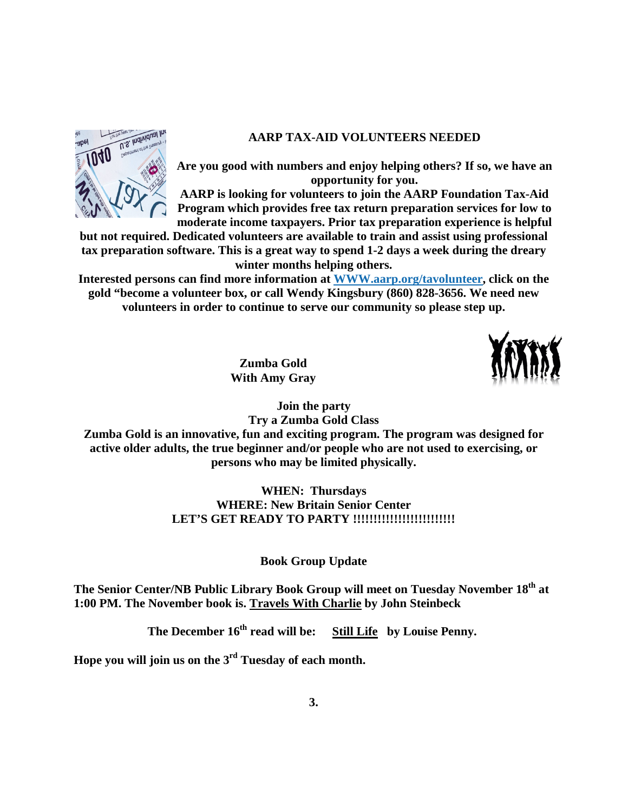### **AARP TAX-AID VOLUNTEERS NEEDED**



**Are you good with numbers and enjoy helping others? If so, we have an opportunity for you.**

**AARP is looking for volunteers to join the AARP Foundation Tax-Aid Program which provides free tax return preparation services for low to moderate income taxpayers. Prior tax preparation experience is helpful** 

**but not required. Dedicated volunteers are available to train and assist using professional tax preparation software. This is a great way to spend 1-2 days a week during the dreary winter months helping others.** 

**Interested persons can find more information at [WWW.aarp.org/tavolunteer,](http://www.aarp.org/tavolunteer) click on the gold "become a volunteer box, or call Wendy Kingsbury (860) 828-3656. We need new volunteers in order to continue to serve our community so please step up.**

> **Zumba Gold With Amy Gray**



**Join the party**

**Try a Zumba Gold Class Zumba Gold is an innovative, fun and exciting program. The program was designed for active older adults, the true beginner and/or people who are not used to exercising, or persons who may be limited physically.** 

> **WHEN: Thursdays WHERE: New Britain Senior Center LET'S GET READY TO PARTY !!!!!!!!!!!!!!!!!!!!!!!!!**

> > **Book Group Update**

**The Senior Center/NB Public Library Book Group will meet on Tuesday November 18th at 1:00 PM. The November book is. Travels With Charlie by John Steinbeck**

The December  $16^{th}$  read will be: **Still Life** by Louise Penny.

**Hope you will join us on the 3rd Tuesday of each month.**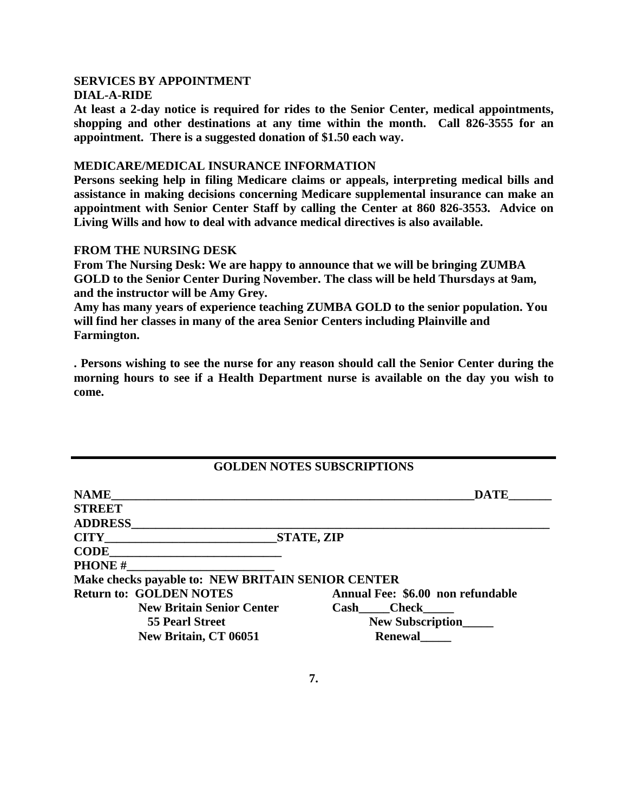#### **SERVICES BY APPOINTMENT DIAL-A-RIDE**

**At least a 2-day notice is required for rides to the Senior Center, medical appointments, shopping and other destinations at any time within the month. Call 826-3555 for an appointment. There is a suggested donation of \$1.50 each way.**

#### **MEDICARE/MEDICAL INSURANCE INFORMATION**

**Persons seeking help in filing Medicare claims or appeals, interpreting medical bills and assistance in making decisions concerning Medicare supplemental insurance can make an appointment with Senior Center Staff by calling the Center at 860 826-3553. Advice on Living Wills and how to deal with advance medical directives is also available.**

#### **FROM THE NURSING DESK**

**From The Nursing Desk: We are happy to announce that we will be bringing ZUMBA GOLD to the Senior Center During November. The class will be held Thursdays at 9am, and the instructor will be Amy Grey.**

**Amy has many years of experience teaching ZUMBA GOLD to the senior population. You will find her classes in many of the area Senior Centers including Plainville and Farmington.** 

**. Persons wishing to see the nurse for any reason should call the Senior Center during the morning hours to see if a Health Department nurse is available on the day you wish to come.**

# **GOLDEN NOTES SUBSCRIPTIONS**

| <b>NAME</b>                                       | <b>DATE</b>                       |
|---------------------------------------------------|-----------------------------------|
| <b>STREET</b>                                     |                                   |
| <b>ADDRESS</b>                                    |                                   |
| <b>CITY</b> CITY                                  | STATE, ZIP                        |
| <b>CODE</b>                                       |                                   |
| <b>PHONE#</b>                                     |                                   |
| Make checks payable to: NEW BRITAIN SENIOR CENTER |                                   |
| <b>Return to: GOLDEN NOTES</b>                    | Annual Fee: \$6.00 non refundable |
| <b>New Britain Senior Center</b>                  | <b>Check</b><br>Cash              |
| <b>55 Pearl Street</b>                            | <b>New Subscription</b>           |
| New Britain, CT 06051                             | <b>Renewal</b>                    |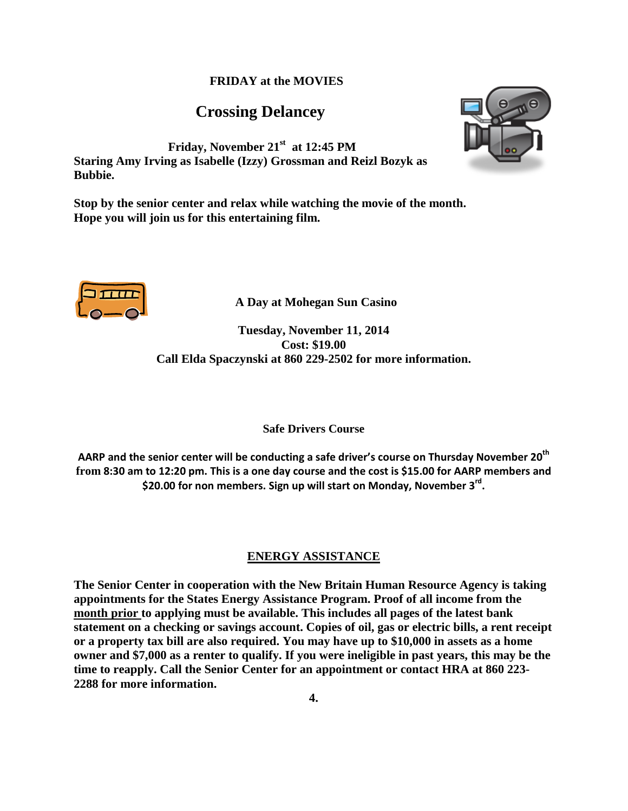#### **FRIDAY at the MOVIES**

# **Crossing Delancey**



**Friday, November 21st at 12:45 PM Staring Amy Irving as Isabelle (Izzy) Grossman and Reizl Bozyk as Bubbie.** 

**Stop by the senior center and relax while watching the movie of the month. Hope you will join us for this entertaining film.**



 **A Day at Mohegan Sun Casino**

**Tuesday, November 11, 2014 Cost: \$19.00 Call Elda Spaczynski at 860 229-2502 for more information.**

**Safe Drivers Course**

AARP and the senior center will be conducting a safe driver's course on Thursday November 20<sup>th</sup> **from 8:30 am to 12:20 pm. This is a one day course and the cost is \$15.00 for AARP members and \$20.00 for non members. Sign up will start on Monday, November 3rd.** 

#### **ENERGY ASSISTANCE**

**The Senior Center in cooperation with the New Britain Human Resource Agency is taking appointments for the States Energy Assistance Program. Proof of all income from the month prior to applying must be available. This includes all pages of the latest bank statement on a checking or savings account. Copies of oil, gas or electric bills, a rent receipt or a property tax bill are also required. You may have up to \$10,000 in assets as a home owner and \$7,000 as a renter to qualify. If you were ineligible in past years, this may be the time to reapply. Call the Senior Center for an appointment or contact HRA at 860 223- 2288 for more information.**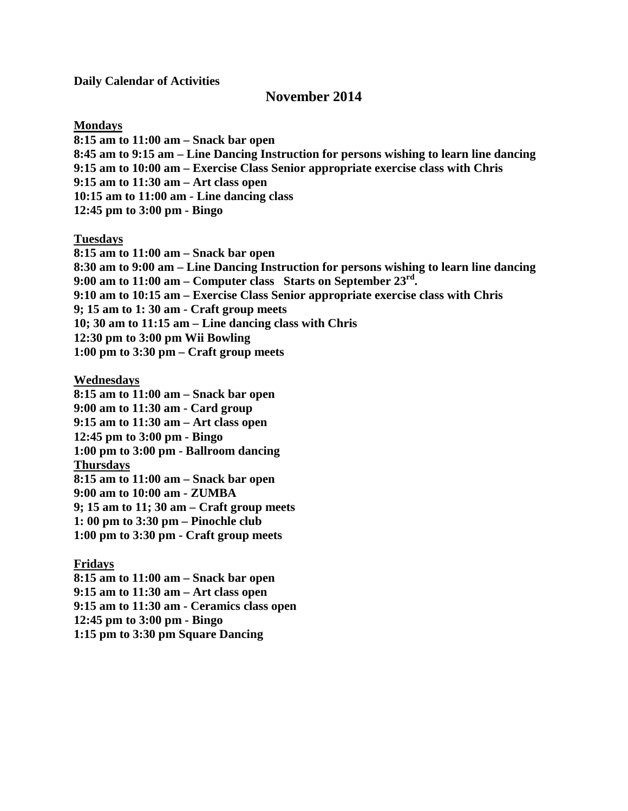**Daily Calendar of Activities**

## **November 2014**

**Mondays**

**8:15 am to 11:00 am – Snack bar open 8:45 am to 9:15 am – Line Dancing Instruction for persons wishing to learn line dancing 9:15 am to 10:00 am – Exercise Class Senior appropriate exercise class with Chris 9:15 am to 11:30 am – Art class open 10:15 am to 11:00 am - Line dancing class 12:45 pm to 3:00 pm - Bingo**

**Tuesdays**

**8:15 am to 11:00 am – Snack bar open 8:30 am to 9:00 am – Line Dancing Instruction for persons wishing to learn line dancing 9:00 am to 11:00 am – Computer class Starts on September 23rd. 9:10 am to 10:15 am – Exercise Class Senior appropriate exercise class with Chris 9; 15 am to 1: 30 am - Craft group meets 10; 30 am to 11:15 am – Line dancing class with Chris 12:30 pm to 3:00 pm Wii Bowling** 

**1:00 pm to 3:30 pm – Craft group meets**

**Wednesdays**

**8:15 am to 11:00 am – Snack bar open 9:00 am to 11:30 am - Card group 9:15 am to 11:30 am – Art class open 12:45 pm to 3:00 pm - Bingo 1:00 pm to 3:00 pm - Ballroom dancing Thursdays 8:15 am to 11:00 am – Snack bar open 9:00 am to 10:00 am - ZUMBA 9; 15 am to 11; 30 am – Craft group meets 1: 00 pm to 3:30 pm – Pinochle club 1:00 pm to 3:30 pm - Craft group meets**

**Fridays**

**8:15 am to 11:00 am – Snack bar open 9:15 am to 11:30 am – Art class open 9:15 am to 11:30 am - Ceramics class open 12:45 pm to 3:00 pm - Bingo 1:15 pm to 3:30 pm Square Dancing**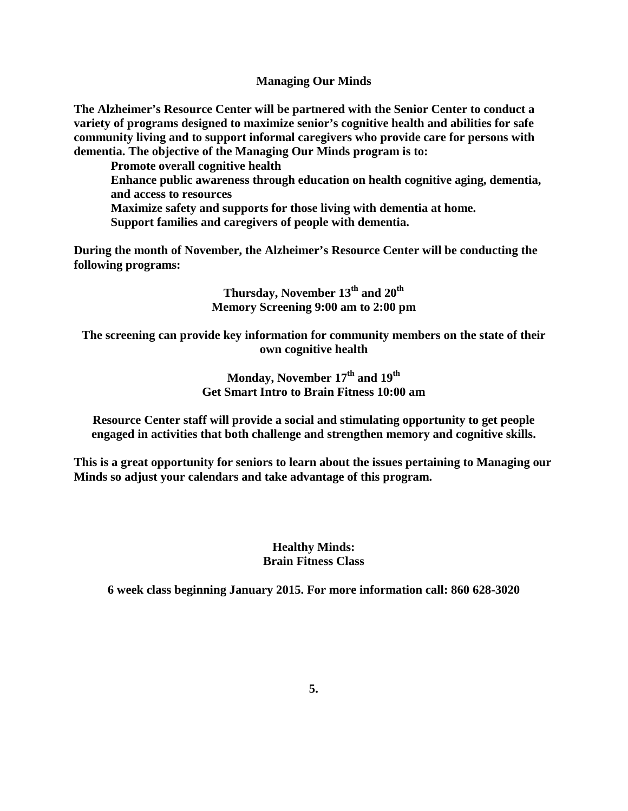**Managing Our Minds**

**The Alzheimer's Resource Center will be partnered with the Senior Center to conduct a variety of programs designed to maximize senior's cognitive health and abilities for safe community living and to support informal caregivers who provide care for persons with dementia. The objective of the Managing Our Minds program is to:**

**Promote overall cognitive health**

**Enhance public awareness through education on health cognitive aging, dementia, and access to resources**

**Maximize safety and supports for those living with dementia at home.**

**Support families and caregivers of people with dementia.**

**During the month of November, the Alzheimer's Resource Center will be conducting the following programs:**

> **Thursday, November 13th and 20th Memory Screening 9:00 am to 2:00 pm**

**The screening can provide key information for community members on the state of their own cognitive health**

> **Monday, November 17th and 19th Get Smart Intro to Brain Fitness 10:00 am**

**Resource Center staff will provide a social and stimulating opportunity to get people engaged in activities that both challenge and strengthen memory and cognitive skills.**

**This is a great opportunity for seniors to learn about the issues pertaining to Managing our Minds so adjust your calendars and take advantage of this program.** 

> **Healthy Minds: Brain Fitness Class**

**6 week class beginning January 2015. For more information call: 860 628-3020**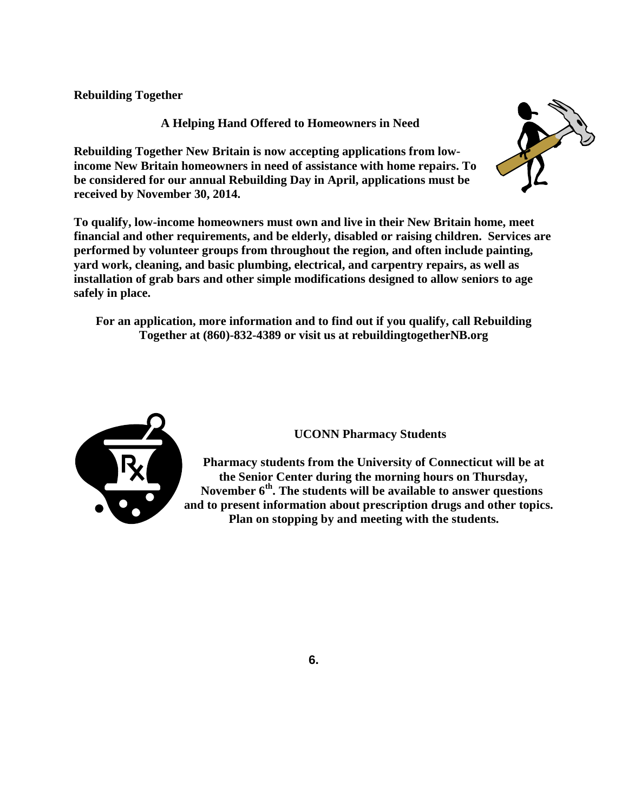**Rebuilding Together**

**A Helping Hand Offered to Homeowners in Need**

**Rebuilding Together New Britain is now accepting applications from lowincome New Britain homeowners in need of assistance with home repairs. To be considered for our annual Rebuilding Day in April, applications must be received by November 30, 2014.**

**To qualify, low-income homeowners must own and live in their New Britain home, meet financial and other requirements, and be elderly, disabled or raising children. Services are performed by volunteer groups from throughout the region, and often include painting, yard work, cleaning, and basic plumbing, electrical, and carpentry repairs, as well as installation of grab bars and other simple modifications designed to allow seniors to age safely in place.** 

**For an application, more information and to find out if you qualify, call Rebuilding Together at (860)-832-4389 or visit us at rebuildingtogetherNB.org**



# **UCONN Pharmacy Students**

**Pharmacy students from the University of Connecticut will be at the Senior Center during the morning hours on Thursday, November 6th. The students will be available to answer questions and to present information about prescription drugs and other topics. Plan on stopping by and meeting with the students.**